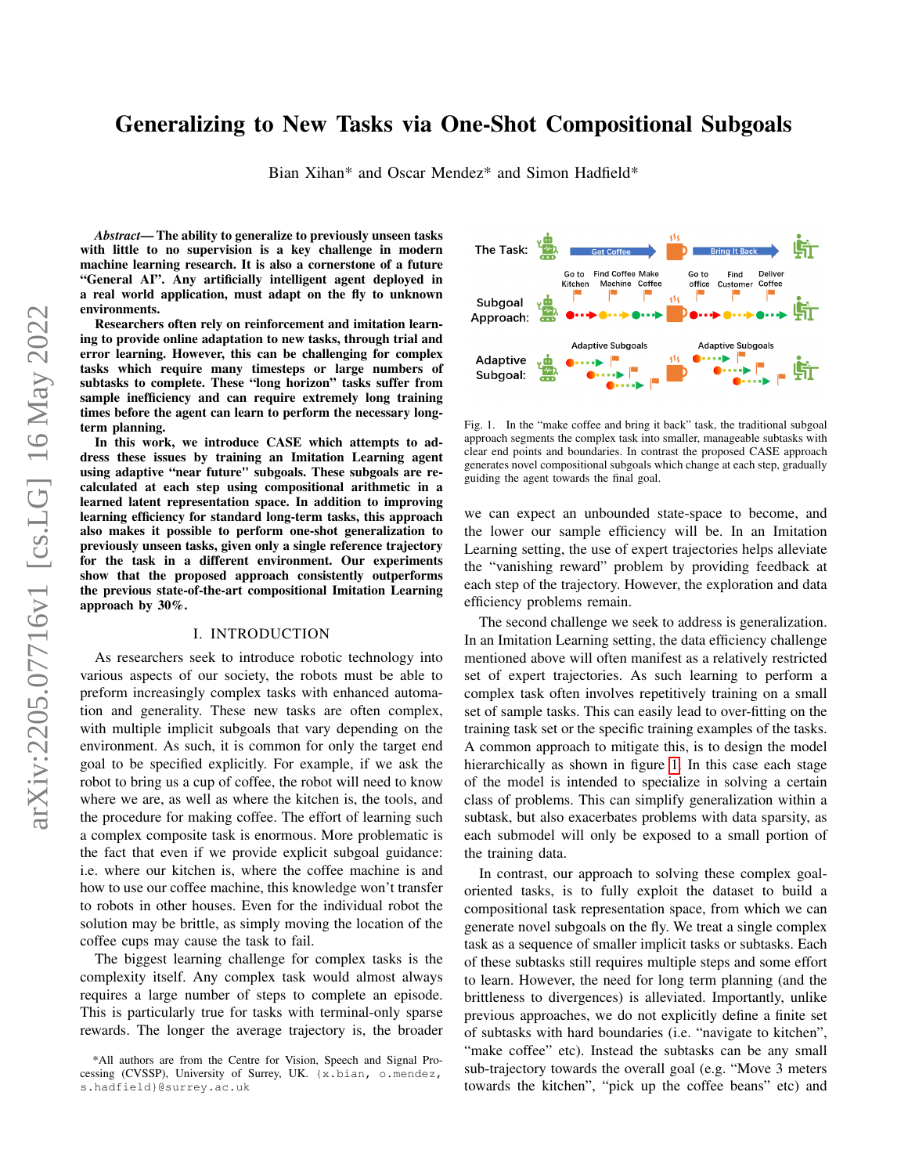# Generalizing to New Tasks via One-Shot Compositional Subgoals

Bian Xihan\* and Oscar Mendez\* and Simon Hadfield\*

*Abstract*— The ability to generalize to previously unseen tasks with little to no supervision is a key challenge in modern machine learning research. It is also a cornerstone of a future "General AI". Any artificially intelligent agent deployed in a real world application, must adapt on the fly to unknown environments.

Researchers often rely on reinforcement and imitation learning to provide online adaptation to new tasks, through trial and error learning. However, this can be challenging for complex tasks which require many timesteps or large numbers of subtasks to complete. These "long horizon" tasks suffer from sample inefficiency and can require extremely long training times before the agent can learn to perform the necessary longterm planning.

In this work, we introduce CASE which attempts to address these issues by training an Imitation Learning agent using adaptive "near future" subgoals. These subgoals are recalculated at each step using compositional arithmetic in a learned latent representation space. In addition to improving learning efficiency for standard long-term tasks, this approach also makes it possible to perform one-shot generalization to previously unseen tasks, given only a single reference trajectory for the task in a different environment. Our experiments show that the proposed approach consistently outperforms the previous state-of-the-art compositional Imitation Learning approach by 30%.

#### I. INTRODUCTION

As researchers seek to introduce robotic technology into various aspects of our society, the robots must be able to preform increasingly complex tasks with enhanced automation and generality. These new tasks are often complex, with multiple implicit subgoals that vary depending on the environment. As such, it is common for only the target end goal to be specified explicitly. For example, if we ask the robot to bring us a cup of coffee, the robot will need to know where we are, as well as where the kitchen is, the tools, and the procedure for making coffee. The effort of learning such a complex composite task is enormous. More problematic is the fact that even if we provide explicit subgoal guidance: i.e. where our kitchen is, where the coffee machine is and how to use our coffee machine, this knowledge won't transfer to robots in other houses. Even for the individual robot the solution may be brittle, as simply moving the location of the coffee cups may cause the task to fail.

The biggest learning challenge for complex tasks is the complexity itself. Any complex task would almost always requires a large number of steps to complete an episode. This is particularly true for tasks with terminal-only sparse rewards. The longer the average trajectory is, the broader



<span id="page-0-0"></span>Fig. 1. In the "make coffee and bring it back" task, the traditional subgoal approach segments the complex task into smaller, manageable subtasks with clear end points and boundaries. In contrast the proposed CASE approach generates novel compositional subgoals which change at each step, gradually guiding the agent towards the final goal.

we can expect an unbounded state-space to become, and the lower our sample efficiency will be. In an Imitation Learning setting, the use of expert trajectories helps alleviate the "vanishing reward" problem by providing feedback at each step of the trajectory. However, the exploration and data efficiency problems remain.

The second challenge we seek to address is generalization. In an Imitation Learning setting, the data efficiency challenge mentioned above will often manifest as a relatively restricted set of expert trajectories. As such learning to perform a complex task often involves repetitively training on a small set of sample tasks. This can easily lead to over-fitting on the training task set or the specific training examples of the tasks. A common approach to mitigate this, is to design the model hierarchically as shown in figure [1.](#page-0-0) In this case each stage of the model is intended to specialize in solving a certain class of problems. This can simplify generalization within a subtask, but also exacerbates problems with data sparsity, as each submodel will only be exposed to a small portion of the training data.

In contrast, our approach to solving these complex goaloriented tasks, is to fully exploit the dataset to build a compositional task representation space, from which we can generate novel subgoals on the fly. We treat a single complex task as a sequence of smaller implicit tasks or subtasks. Each of these subtasks still requires multiple steps and some effort to learn. However, the need for long term planning (and the brittleness to divergences) is alleviated. Importantly, unlike previous approaches, we do not explicitly define a finite set of subtasks with hard boundaries (i.e. "navigate to kitchen", "make coffee" etc). Instead the subtasks can be any small sub-trajectory towards the overall goal (e.g. "Move 3 meters towards the kitchen", "pick up the coffee beans" etc) and

<sup>\*</sup>All authors are from the Centre for Vision, Speech and Signal Processing (CVSSP), University of Surrey, UK. {x.bian, o.mendez, s.hadfield}@surrey.ac.uk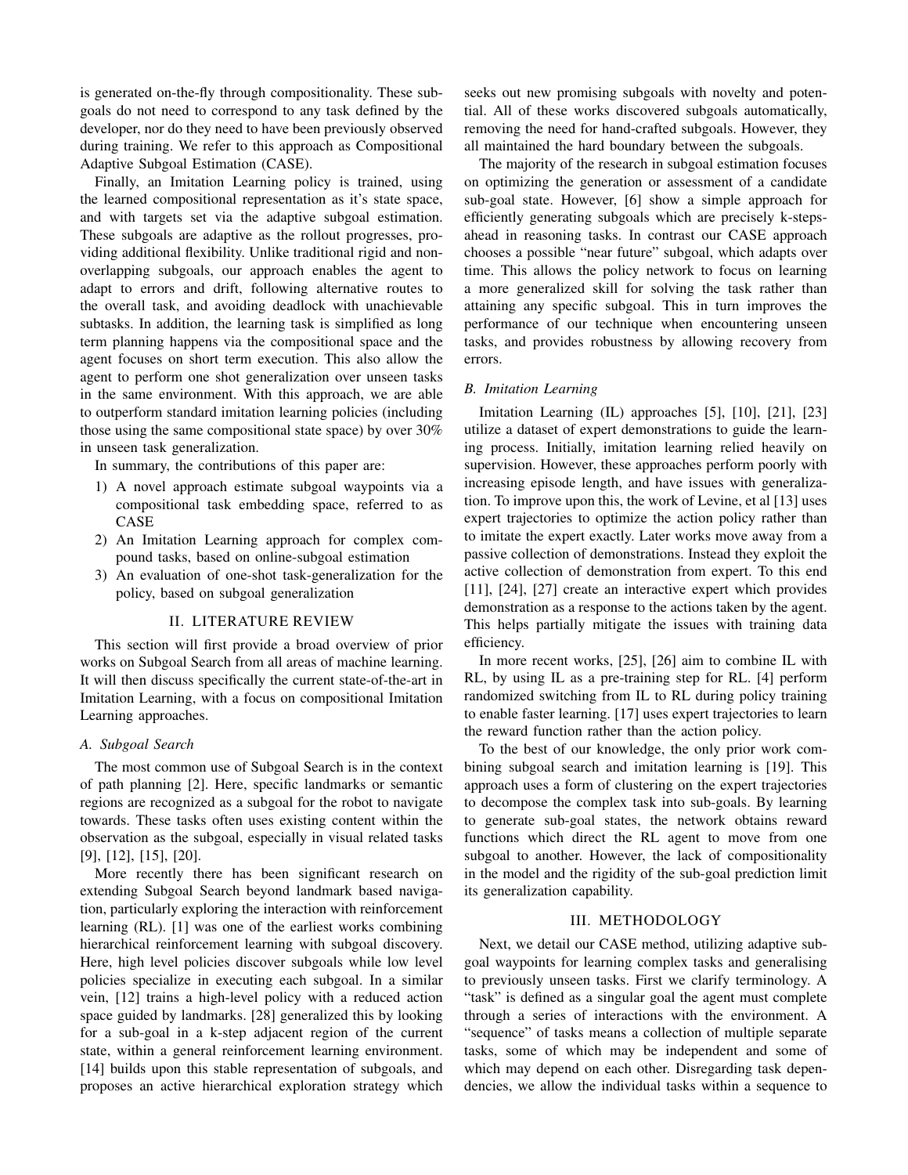is generated on-the-fly through compositionality. These subgoals do not need to correspond to any task defined by the developer, nor do they need to have been previously observed during training. We refer to this approach as Compositional Adaptive Subgoal Estimation (CASE).

Finally, an Imitation Learning policy is trained, using the learned compositional representation as it's state space, and with targets set via the adaptive subgoal estimation. These subgoals are adaptive as the rollout progresses, providing additional flexibility. Unlike traditional rigid and nonoverlapping subgoals, our approach enables the agent to adapt to errors and drift, following alternative routes to the overall task, and avoiding deadlock with unachievable subtasks. In addition, the learning task is simplified as long term planning happens via the compositional space and the agent focuses on short term execution. This also allow the agent to perform one shot generalization over unseen tasks in the same environment. With this approach, we are able to outperform standard imitation learning policies (including those using the same compositional state space) by over 30% in unseen task generalization.

In summary, the contributions of this paper are:

- 1) A novel approach estimate subgoal waypoints via a compositional task embedding space, referred to as CASE
- 2) An Imitation Learning approach for complex compound tasks, based on online-subgoal estimation
- 3) An evaluation of one-shot task-generalization for the policy, based on subgoal generalization

### II. LITERATURE REVIEW

This section will first provide a broad overview of prior works on Subgoal Search from all areas of machine learning. It will then discuss specifically the current state-of-the-art in Imitation Learning, with a focus on compositional Imitation Learning approaches.

## *A. Subgoal Search*

The most common use of Subgoal Search is in the context of path planning [2]. Here, specific landmarks or semantic regions are recognized as a subgoal for the robot to navigate towards. These tasks often uses existing content within the observation as the subgoal, especially in visual related tasks [9], [12], [15], [20].

More recently there has been significant research on extending Subgoal Search beyond landmark based navigation, particularly exploring the interaction with reinforcement learning (RL). [1] was one of the earliest works combining hierarchical reinforcement learning with subgoal discovery. Here, high level policies discover subgoals while low level policies specialize in executing each subgoal. In a similar vein, [12] trains a high-level policy with a reduced action space guided by landmarks. [28] generalized this by looking for a sub-goal in a k-step adjacent region of the current state, within a general reinforcement learning environment. [14] builds upon this stable representation of subgoals, and proposes an active hierarchical exploration strategy which seeks out new promising subgoals with novelty and potential. All of these works discovered subgoals automatically, removing the need for hand-crafted subgoals. However, they all maintained the hard boundary between the subgoals.

The majority of the research in subgoal estimation focuses on optimizing the generation or assessment of a candidate sub-goal state. However, [6] show a simple approach for efficiently generating subgoals which are precisely k-stepsahead in reasoning tasks. In contrast our CASE approach chooses a possible "near future" subgoal, which adapts over time. This allows the policy network to focus on learning a more generalized skill for solving the task rather than attaining any specific subgoal. This in turn improves the performance of our technique when encountering unseen tasks, and provides robustness by allowing recovery from errors.

## *B. Imitation Learning*

Imitation Learning (IL) approaches [5], [10], [21], [23] utilize a dataset of expert demonstrations to guide the learning process. Initially, imitation learning relied heavily on supervision. However, these approaches perform poorly with increasing episode length, and have issues with generalization. To improve upon this, the work of Levine, et al [13] uses expert trajectories to optimize the action policy rather than to imitate the expert exactly. Later works move away from a passive collection of demonstrations. Instead they exploit the active collection of demonstration from expert. To this end [11], [24], [27] create an interactive expert which provides demonstration as a response to the actions taken by the agent. This helps partially mitigate the issues with training data efficiency.

In more recent works, [25], [26] aim to combine IL with RL, by using IL as a pre-training step for RL. [4] perform randomized switching from IL to RL during policy training to enable faster learning. [17] uses expert trajectories to learn the reward function rather than the action policy.

To the best of our knowledge, the only prior work combining subgoal search and imitation learning is [19]. This approach uses a form of clustering on the expert trajectories to decompose the complex task into sub-goals. By learning to generate sub-goal states, the network obtains reward functions which direct the RL agent to move from one subgoal to another. However, the lack of compositionality in the model and the rigidity of the sub-goal prediction limit its generalization capability.

# III. METHODOLOGY

Next, we detail our CASE method, utilizing adaptive subgoal waypoints for learning complex tasks and generalising to previously unseen tasks. First we clarify terminology. A "task" is defined as a singular goal the agent must complete through a series of interactions with the environment. A "sequence" of tasks means a collection of multiple separate tasks, some of which may be independent and some of which may depend on each other. Disregarding task dependencies, we allow the individual tasks within a sequence to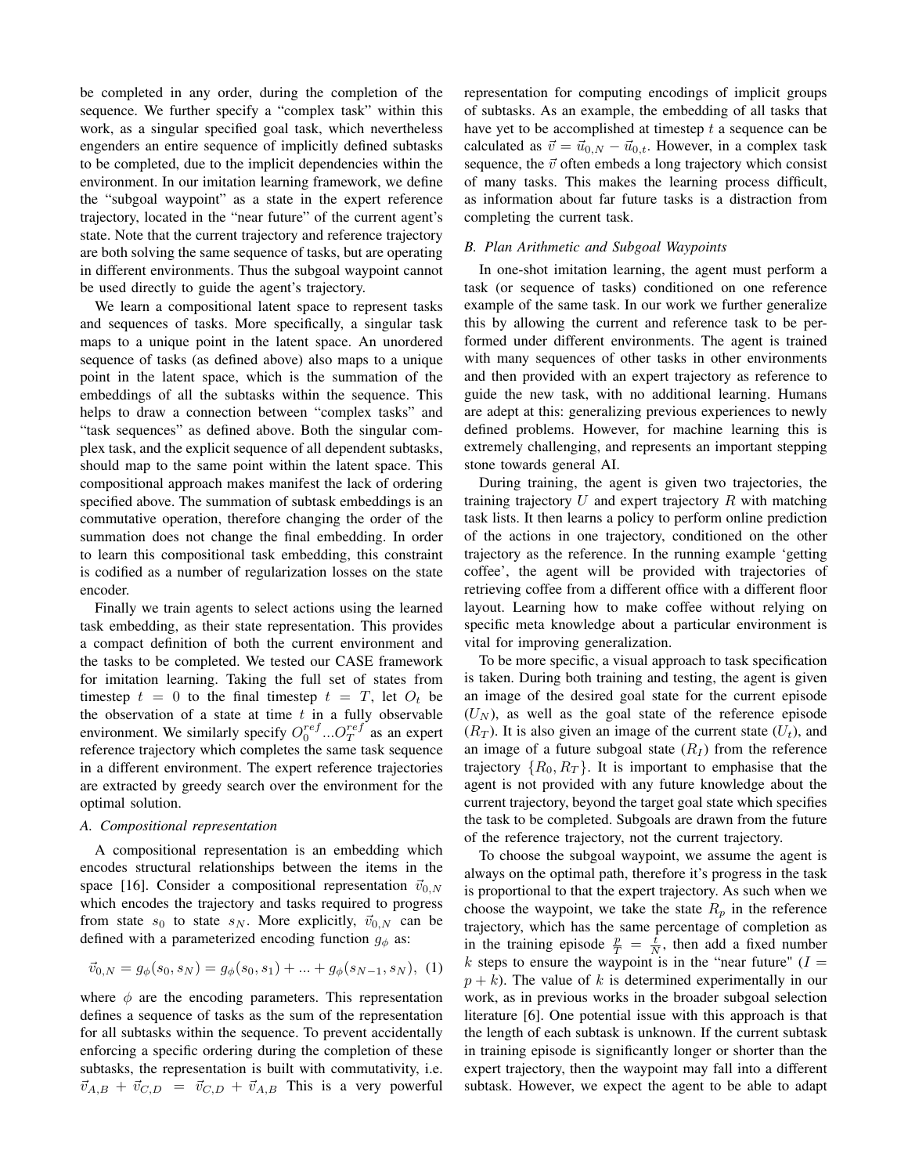be completed in any order, during the completion of the sequence. We further specify a "complex task" within this work, as a singular specified goal task, which nevertheless engenders an entire sequence of implicitly defined subtasks to be completed, due to the implicit dependencies within the environment. In our imitation learning framework, we define the "subgoal waypoint" as a state in the expert reference trajectory, located in the "near future" of the current agent's state. Note that the current trajectory and reference trajectory are both solving the same sequence of tasks, but are operating in different environments. Thus the subgoal waypoint cannot be used directly to guide the agent's trajectory.

We learn a compositional latent space to represent tasks and sequences of tasks. More specifically, a singular task maps to a unique point in the latent space. An unordered sequence of tasks (as defined above) also maps to a unique point in the latent space, which is the summation of the embeddings of all the subtasks within the sequence. This helps to draw a connection between "complex tasks" and "task sequences" as defined above. Both the singular complex task, and the explicit sequence of all dependent subtasks, should map to the same point within the latent space. This compositional approach makes manifest the lack of ordering specified above. The summation of subtask embeddings is an commutative operation, therefore changing the order of the summation does not change the final embedding. In order to learn this compositional task embedding, this constraint is codified as a number of regularization losses on the state encoder.

Finally we train agents to select actions using the learned task embedding, as their state representation. This provides a compact definition of both the current environment and the tasks to be completed. We tested our CASE framework for imitation learning. Taking the full set of states from timestep  $t = 0$  to the final timestep  $t = T$ , let  $O_t$  be the observation of a state at time  $t$  in a fully observable environment. We similarly specify  $O_0^{ref}$  ... $O_T^{ref}$  as an expert reference trajectory which completes the same task sequence in a different environment. The expert reference trajectories are extracted by greedy search over the environment for the optimal solution.

## *A. Compositional representation*

A compositional representation is an embedding which encodes structural relationships between the items in the space [16]. Consider a compositional representation  $\vec{v}_{0,N}$ which encodes the trajectory and tasks required to progress from state  $s_0$  to state  $s_N$ . More explicitly,  $\vec{v}_{0,N}$  can be defined with a parameterized encoding function  $g_{\phi}$  as:

$$
\vec{v}_{0,N} = g_{\phi}(s_0, s_N) = g_{\phi}(s_0, s_1) + \dots + g_{\phi}(s_{N-1}, s_N), \tag{1}
$$

where  $\phi$  are the encoding parameters. This representation defines a sequence of tasks as the sum of the representation for all subtasks within the sequence. To prevent accidentally enforcing a specific ordering during the completion of these subtasks, the representation is built with commutativity, i.e.  $\vec{v}_{A,B} + \vec{v}_{C,D} = \vec{v}_{C,D} + \vec{v}_{A,B}$  This is a very powerful representation for computing encodings of implicit groups of subtasks. As an example, the embedding of all tasks that have yet to be accomplished at timestep  $t$  a sequence can be calculated as  $\vec{v} = \vec{u}_{0,N} - \vec{u}_{0,t}$ . However, in a complex task sequence, the  $\vec{v}$  often embeds a long trajectory which consist of many tasks. This makes the learning process difficult, as information about far future tasks is a distraction from completing the current task.

# *B. Plan Arithmetic and Subgoal Waypoints*

In one-shot imitation learning, the agent must perform a task (or sequence of tasks) conditioned on one reference example of the same task. In our work we further generalize this by allowing the current and reference task to be performed under different environments. The agent is trained with many sequences of other tasks in other environments and then provided with an expert trajectory as reference to guide the new task, with no additional learning. Humans are adept at this: generalizing previous experiences to newly defined problems. However, for machine learning this is extremely challenging, and represents an important stepping stone towards general AI.

During training, the agent is given two trajectories, the training trajectory  $U$  and expert trajectory  $R$  with matching task lists. It then learns a policy to perform online prediction of the actions in one trajectory, conditioned on the other trajectory as the reference. In the running example 'getting coffee', the agent will be provided with trajectories of retrieving coffee from a different office with a different floor layout. Learning how to make coffee without relying on specific meta knowledge about a particular environment is vital for improving generalization.

To be more specific, a visual approach to task specification is taken. During both training and testing, the agent is given an image of the desired goal state for the current episode  $(U<sub>N</sub>)$ , as well as the goal state of the reference episode  $(R_T)$ . It is also given an image of the current state  $(U_t)$ , and an image of a future subgoal state  $(R<sub>I</sub>)$  from the reference trajectory  $\{R_0, R_T\}$ . It is important to emphasise that the agent is not provided with any future knowledge about the current trajectory, beyond the target goal state which specifies the task to be completed. Subgoals are drawn from the future of the reference trajectory, not the current trajectory.

To choose the subgoal waypoint, we assume the agent is always on the optimal path, therefore it's progress in the task is proportional to that the expert trajectory. As such when we choose the waypoint, we take the state  $R_p$  in the reference trajectory, which has the same percentage of completion as in the training episode  $\frac{p}{T} = \frac{t}{N}$ , then add a fixed number k steps to ensure the waypoint is in the "near future"  $(I =$  $p + k$ ). The value of k is determined experimentally in our work, as in previous works in the broader subgoal selection literature [6]. One potential issue with this approach is that the length of each subtask is unknown. If the current subtask in training episode is significantly longer or shorter than the expert trajectory, then the waypoint may fall into a different subtask. However, we expect the agent to be able to adapt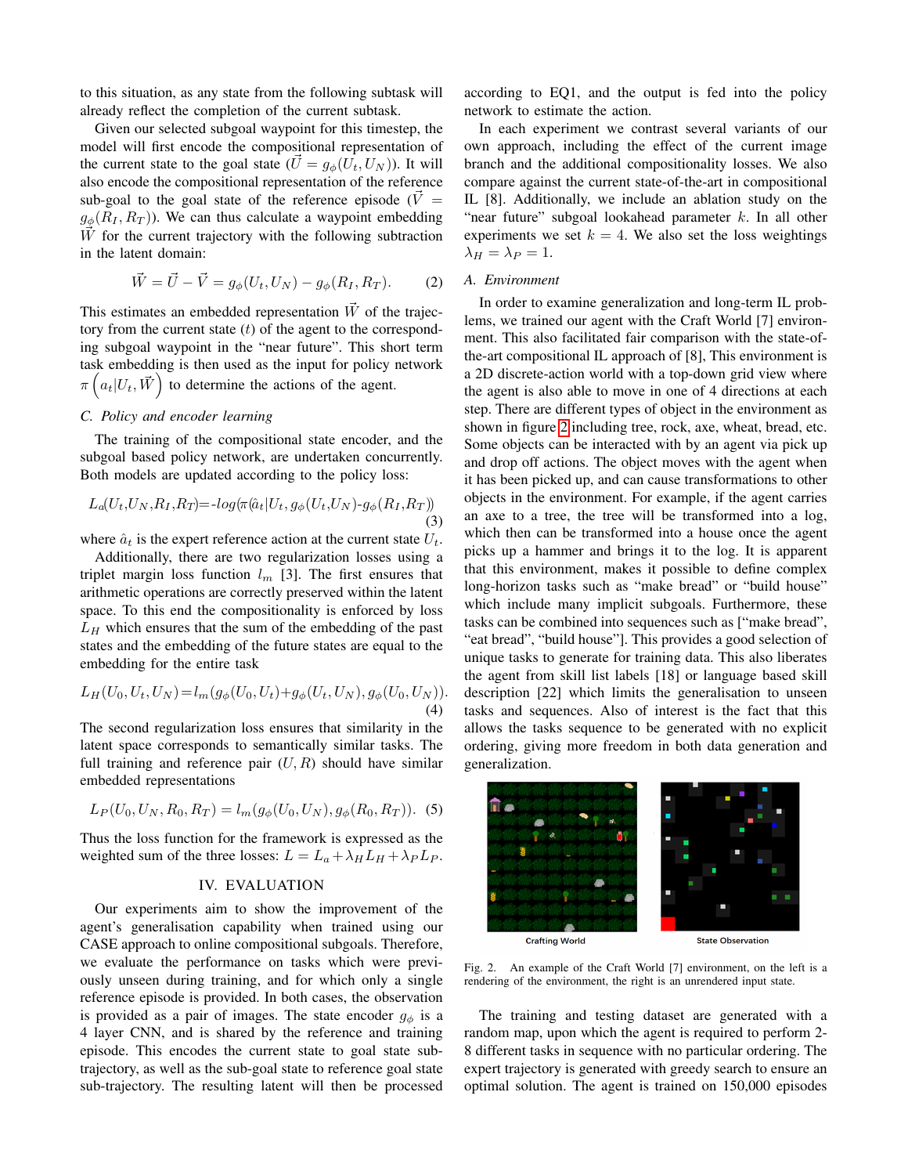to this situation, as any state from the following subtask will already reflect the completion of the current subtask.

Given our selected subgoal waypoint for this timestep, the model will first encode the compositional representation of the current state to the goal state  $(\vec{U} = g_{\phi}(U_t, U_N))$ . It will also encode the compositional representation of the reference sub-goal to the goal state of the reference episode ( $\dot{V}$  =  $g_{\phi}(R_I, R_T)$ ). We can thus calculate a waypoint embedding  $\vec{W}$  for the current trajectory with the following subtraction in the latent domain:

$$
\vec{W} = \vec{U} - \vec{V} = g_{\phi}(U_t, U_N) - g_{\phi}(R_I, R_T). \tag{2}
$$

This estimates an embedded representation  $\vec{W}$  of the trajectory from the current state  $(t)$  of the agent to the corresponding subgoal waypoint in the "near future". This short term task embedding is then used as the input for policy network  $\pi\left(a_t|U_t, \vec{W}\right)$  to determine the actions of the agent.

# *C. Policy and encoder learning*

The training of the compositional state encoder, and the subgoal based policy network, are undertaken concurrently. Both models are updated according to the policy loss:

$$
L_a(U_t, U_N, R_I, R_T) = -\log(\pi(\hat{a}_t | U_t, g_\phi(U_t, U_N) - g_\phi(R_I, R_T))
$$
\n(3)

where  $\hat{a}_t$  is the expert reference action at the current state  $U_t$ .

Additionally, there are two regularization losses using a triplet margin loss function  $l_m$  [3]. The first ensures that arithmetic operations are correctly preserved within the latent space. To this end the compositionality is enforced by loss  $L_H$  which ensures that the sum of the embedding of the past states and the embedding of the future states are equal to the embedding for the entire task

<span id="page-3-1"></span>
$$
L_H(U_0, U_t, U_N) = l_m(g_{\phi}(U_0, U_t) + g_{\phi}(U_t, U_N), g_{\phi}(U_0, U_N)).
$$
\n(4)

The second regularization loss ensures that similarity in the latent space corresponds to semantically similar tasks. The full training and reference pair  $(U, R)$  should have similar embedded representations

$$
L_P(U_0, U_N, R_0, R_T) = l_m(g_\phi(U_0, U_N), g_\phi(R_0, R_T)).
$$
 (5)

Thus the loss function for the framework is expressed as the weighted sum of the three losses:  $L = L_a + \lambda_H L_H + \lambda_P L_P$ .

# <span id="page-3-2"></span>IV. EVALUATION

Our experiments aim to show the improvement of the agent's generalisation capability when trained using our CASE approach to online compositional subgoals. Therefore, we evaluate the performance on tasks which were previously unseen during training, and for which only a single reference episode is provided. In both cases, the observation is provided as a pair of images. The state encoder  $g_{\phi}$  is a 4 layer CNN, and is shared by the reference and training episode. This encodes the current state to goal state subtrajectory, as well as the sub-goal state to reference goal state sub-trajectory. The resulting latent will then be processed

according to EQ1, and the output is fed into the policy network to estimate the action.

In each experiment we contrast several variants of our own approach, including the effect of the current image branch and the additional compositionality losses. We also compare against the current state-of-the-art in compositional IL [8]. Additionally, we include an ablation study on the "near future" subgoal lookahead parameter  $k$ . In all other experiments we set  $k = 4$ . We also set the loss weightings  $\lambda_H = \lambda_P = 1.$ 

#### *A. Environment*

In order to examine generalization and long-term IL problems, we trained our agent with the Craft World [7] environment. This also facilitated fair comparison with the state-ofthe-art compositional IL approach of [8], This environment is a 2D discrete-action world with a top-down grid view where the agent is also able to move in one of 4 directions at each step. There are different types of object in the environment as shown in figure [2](#page-3-0) including tree, rock, axe, wheat, bread, etc. Some objects can be interacted with by an agent via pick up and drop off actions. The object moves with the agent when it has been picked up, and can cause transformations to other objects in the environment. For example, if the agent carries an axe to a tree, the tree will be transformed into a log, which then can be transformed into a house once the agent picks up a hammer and brings it to the log. It is apparent that this environment, makes it possible to define complex long-horizon tasks such as "make bread" or "build house" which include many implicit subgoals. Furthermore, these tasks can be combined into sequences such as ["make bread", "eat bread", "build house"]. This provides a good selection of unique tasks to generate for training data. This also liberates the agent from skill list labels [18] or language based skill description [22] which limits the generalisation to unseen tasks and sequences. Also of interest is the fact that this allows the tasks sequence to be generated with no explicit ordering, giving more freedom in both data generation and generalization.



<span id="page-3-0"></span>Fig. 2. An example of the Craft World [7] environment, on the left is a rendering of the environment, the right is an unrendered input state.

The training and testing dataset are generated with a random map, upon which the agent is required to perform 2- 8 different tasks in sequence with no particular ordering. The expert trajectory is generated with greedy search to ensure an optimal solution. The agent is trained on 150,000 episodes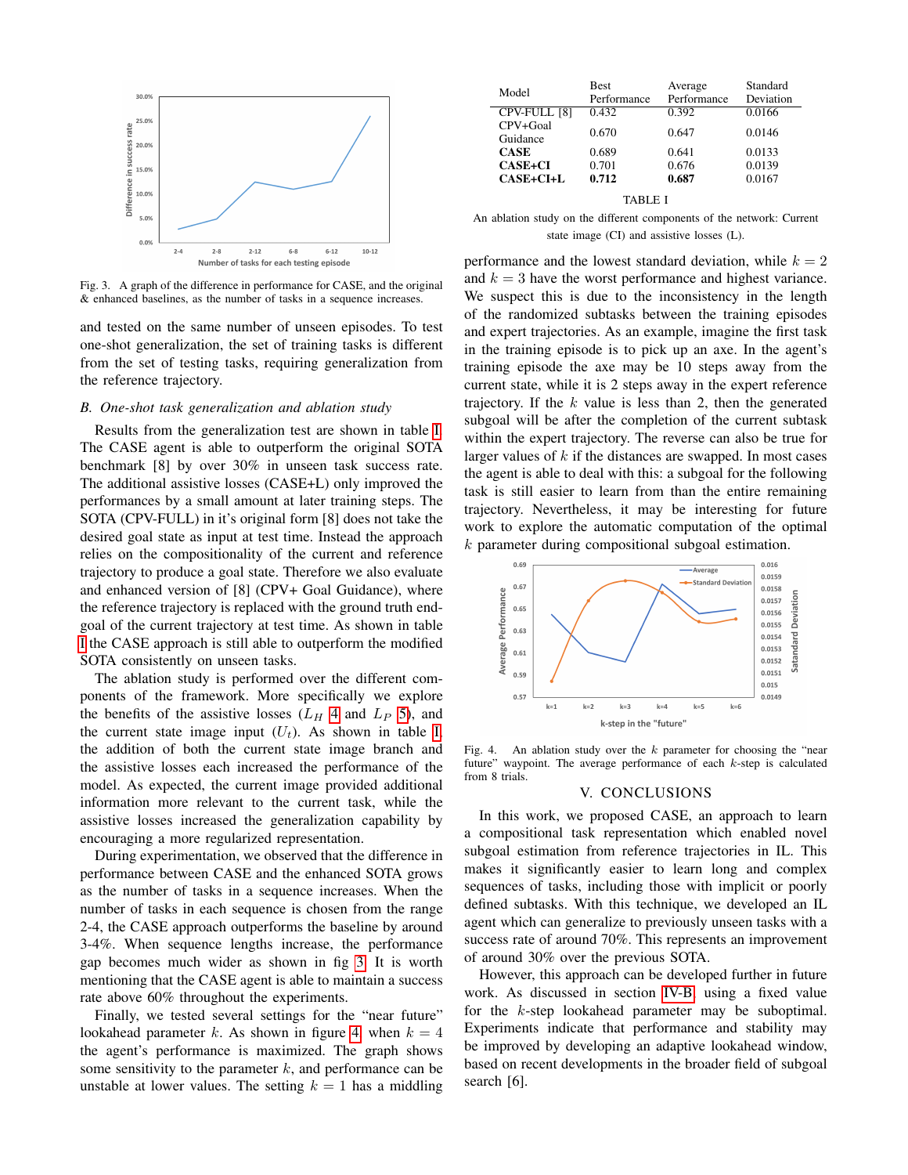

<span id="page-4-1"></span>Fig. 3. A graph of the difference in performance for CASE, and the original & enhanced baselines, as the number of tasks in a sequence increases.

and tested on the same number of unseen episodes. To test one-shot generalization, the set of training tasks is different from the set of testing tasks, requiring generalization from the reference trajectory.

# <span id="page-4-3"></span>*B. One-shot task generalization and ablation study*

Results from the generalization test are shown in table [I.](#page-4-0) The CASE agent is able to outperform the original SOTA benchmark [8] by over 30% in unseen task success rate. The additional assistive losses (CASE+L) only improved the performances by a small amount at later training steps. The SOTA (CPV-FULL) in it's original form [8] does not take the desired goal state as input at test time. Instead the approach relies on the compositionality of the current and reference trajectory to produce a goal state. Therefore we also evaluate and enhanced version of [8] (CPV+ Goal Guidance), where the reference trajectory is replaced with the ground truth endgoal of the current trajectory at test time. As shown in table [I](#page-4-0) the CASE approach is still able to outperform the modified SOTA consistently on unseen tasks.

The ablation study is performed over the different components of the framework. More specifically we explore the benefits of the assistive losses  $(L_H 4$  $(L_H 4$  and  $L_P 5)$  $L_P 5)$ , and the current state image input  $(U_t)$ . As shown in table [I,](#page-4-0) the addition of both the current state image branch and the assistive losses each increased the performance of the model. As expected, the current image provided additional information more relevant to the current task, while the assistive losses increased the generalization capability by encouraging a more regularized representation.

During experimentation, we observed that the difference in performance between CASE and the enhanced SOTA grows as the number of tasks in a sequence increases. When the number of tasks in each sequence is chosen from the range 2-4, the CASE approach outperforms the baseline by around 3-4%. When sequence lengths increase, the performance gap becomes much wider as shown in fig [3.](#page-4-1) It is worth mentioning that the CASE agent is able to maintain a success rate above 60% throughout the experiments.

Finally, we tested several settings for the "near future" lookahead parameter k. As shown in figure [4,](#page-4-2) when  $k = 4$ the agent's performance is maximized. The graph shows some sensitivity to the parameter  $k$ , and performance can be unstable at lower values. The setting  $k = 1$  has a middling

| Model                | <b>Best</b><br>Performance | Average<br>Performance | Standard<br>Deviation |
|----------------------|----------------------------|------------------------|-----------------------|
| CPV-FULL [8]         | 0.432                      | 0.392                  | 0.0166                |
| CPV+Goal<br>Guidance | 0.670                      | 0.647                  | 0.0146                |
| <b>CASE</b>          | 0.689                      | 0.641                  | 0.0133                |
| <b>CASE+CI</b>       | 0.701                      | 0.676                  | 0.0139                |
| $CASE+CI+L$          | 0.712                      | 0.687                  | 0.0167                |
| TABLE I              |                            |                        |                       |

<span id="page-4-0"></span>An ablation study on the different components of the network: Current state image (CI) and assistive losses (L).

performance and the lowest standard deviation, while  $k = 2$ and  $k = 3$  have the worst performance and highest variance. We suspect this is due to the inconsistency in the length of the randomized subtasks between the training episodes and expert trajectories. As an example, imagine the first task in the training episode is to pick up an axe. In the agent's training episode the axe may be 10 steps away from the current state, while it is 2 steps away in the expert reference trajectory. If the  $k$  value is less than 2, then the generated subgoal will be after the completion of the current subtask within the expert trajectory. The reverse can also be true for larger values of  $k$  if the distances are swapped. In most cases the agent is able to deal with this: a subgoal for the following task is still easier to learn from than the entire remaining trajectory. Nevertheless, it may be interesting for future work to explore the automatic computation of the optimal k parameter during compositional subgoal estimation.



<span id="page-4-2"></span>Fig. 4. An ablation study over the  $k$  parameter for choosing the "near future" waypoint. The average performance of each  $k$ -step is calculated from 8 trials.

#### V. CONCLUSIONS

In this work, we proposed CASE, an approach to learn a compositional task representation which enabled novel subgoal estimation from reference trajectories in IL. This makes it significantly easier to learn long and complex sequences of tasks, including those with implicit or poorly defined subtasks. With this technique, we developed an IL agent which can generalize to previously unseen tasks with a success rate of around 70%. This represents an improvement of around 30% over the previous SOTA.

However, this approach can be developed further in future work. As discussed in section [IV-B,](#page-4-3) using a fixed value for the k-step lookahead parameter may be suboptimal. Experiments indicate that performance and stability may be improved by developing an adaptive lookahead window, based on recent developments in the broader field of subgoal search [6].